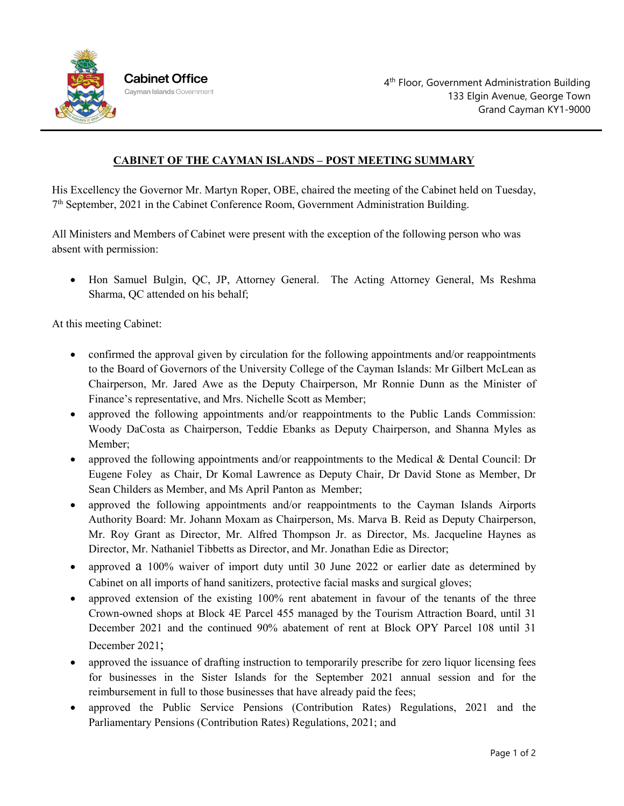

## **CABINET OF THE CAYMAN ISLANDS – POST MEETING SUMMARY**

His Excellency the Governor Mr. Martyn Roper, OBE, chaired the meeting of the Cabinet held on Tuesday,  $7<sup>th</sup>$  September, 2021 in the Cabinet Conference Room, Government Administration Building.

All Ministers and Members of Cabinet were present with the exception of the following person who was absent with permission:

• Hon Samuel Bulgin, QC, JP, Attorney General. The Acting Attorney General, Ms Reshma Sharma, QC attended on his behalf;

At this meeting Cabinet:

- confirmed the approval given by circulation for the following appointments and/or reappointments to the Board of Governors of the University College of the Cayman Islands: Mr Gilbert McLean as Chairperson, Mr. Jared Awe as the Deputy Chairperson, Mr Ronnie Dunn as the Minister of Finance's representative, and Mrs. Nichelle Scott as Member;
- approved the following appointments and/or reappointments to the Public Lands Commission: Woody DaCosta as Chairperson, Teddie Ebanks as Deputy Chairperson, and Shanna Myles as Member;
- approved the following appointments and/or reappointments to the Medical & Dental Council: Dr Eugene Foley as Chair, Dr Komal Lawrence as Deputy Chair, Dr David Stone as Member, Dr Sean Childers as Member, and Ms April Panton as Member;
- approved the following appointments and/or reappointments to the Cayman Islands Airports Authority Board: Mr. Johann Moxam as Chairperson, Ms. Marva B. Reid as Deputy Chairperson, Mr. Roy Grant as Director, Mr. Alfred Thompson Jr. as Director, Ms. Jacqueline Haynes as Director, Mr. Nathaniel Tibbetts as Director, and Mr. Jonathan Edie as Director;
- approved a 100% waiver of import duty until 30 June 2022 or earlier date as determined by Cabinet on all imports of hand sanitizers, protective facial masks and surgical gloves;
- approved extension of the existing 100% rent abatement in favour of the tenants of the three Crown-owned shops at Block 4E Parcel 455 managed by the Tourism Attraction Board, until 31 December 2021 and the continued 90% abatement of rent at Block OPY Parcel 108 until 31 December 2021;
- approved the issuance of drafting instruction to temporarily prescribe for zero liquor licensing fees for businesses in the Sister Islands for the September 2021 annual session and for the reimbursement in full to those businesses that have already paid the fees;
- approved the Public Service Pensions (Contribution Rates) Regulations, 2021 and the Parliamentary Pensions (Contribution Rates) Regulations, 2021; and